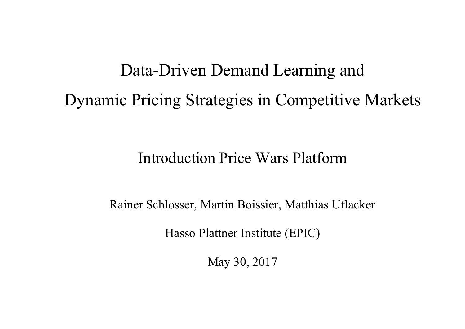# Data-Driven Demand Learning and Dynamic Pricing Strategies in Competitive Markets

#### Introduction Price Wars Platform

Rainer Schlosser, Martin Boissier, Matthias Uflacker

Hasso Plattner Institute (EPIC)

May 30, 2017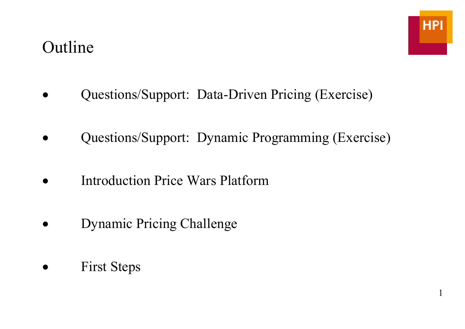#### Outline

1

- Questions/Support: Data-Driven Pricing (Exercise)
- Questions/Support: Dynamic Programming (Exercise)
- **Introduction Price Wars Platform**
- Dynamic Pricing Challenge
- **First Steps**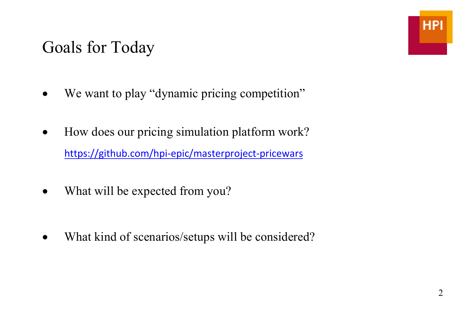#### Goals for Today

- We want to play "dynamic pricing competition"
- How does our pricing simulation platform work? https://github.com/hpi-epic/masterproject-pricewars
- What will be expected from you?
- What kind of scenarios/setups will be considered?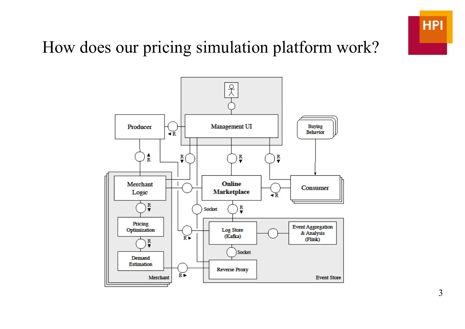

## How does our pricing simulation platform work?

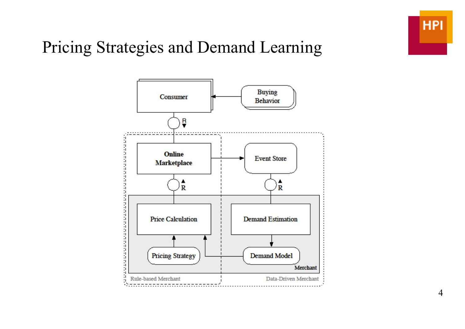

### Pricing Strategies and Demand Learning

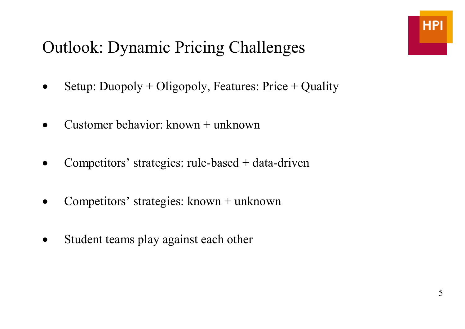# Outlook: Dynamic Pricing Challenges

- Setup: Duopoly + Oligopoly, Features: Price + Quality
- Customer behavior: known  $+$  unknown
- Competitors' strategies: rule-based  $+$  data-driven
- Competitors' strategies: known + unknown
- Student teams play against each other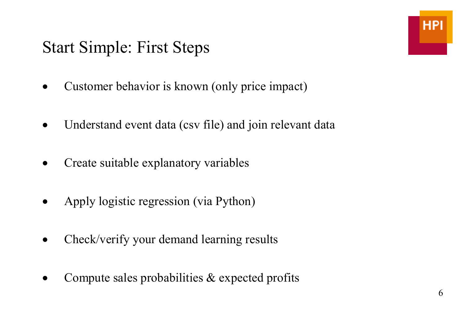#### Start Simple: First Steps

- Customer behavior is known (only price impact)
- Understand event data (csv file) and join relevant data
- Create suitable explanatory variables
- Apply logistic regression (via Python)
- Check/verify your demand learning results
- Compute sales probabilities & expected profits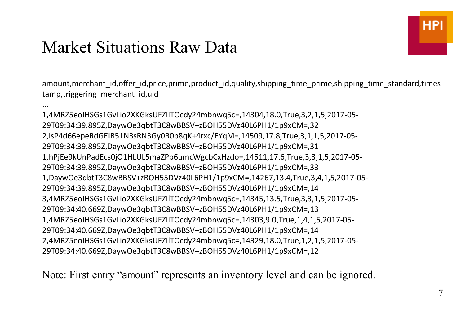#### Market Situations Raw Data

...

amount,merchant\_id,offer\_id,price,prime,product\_id,quality,shipping\_time\_prime,shipping\_time\_standard,times tamp, triggering merchant id, uid

1,4MRZ5eoIHSGs1GvLio2XKGksUFZIlTOcdy24mbnwq5c=,14304,18.0,True,3,2,1,5,2017-05-29T09:34:39.895Z,DaywOe3qbtT3C8wBBSV+zBOH55DVz40L6PH1/1p9xCM=,32 2,lsP4d66epeRdGEIB51N3sRN3Gy0R0b8qK+4rxc/EYqM=,14509,17.8,True,3,1,1,5,2017-05-29T09:34:39.895Z,DaywOe3qbtT3C8wBBSV+zBOH55DVz40L6PH1/1p9xCM=,31 1,hPjEe9kUnPadEcs0jO1HLUL5maZPb6umcWgcbCxHzdo=,14511,17.6,True,3,3,1,5,2017-05-29T09:34:39.895Z,DaywOe3qbtT3C8wBBSV+zBOH55DVz40L6PH1/1p9xCM=,33 1,DaywOe3qbtT3C8wBBSV+zBOH55DVz40L6PH1/1p9xCM=,14267,13.4,True,3,4,1,5,2017-05-29T09:34:39.895Z,DaywOe3qbtT3C8wBBSV+zBOH55DVz40L6PH1/1p9xCM=,14 3,4MRZ5eoIHSGs1GvLio2XKGksUFZIlTOcdy24mbnwq5c=,14345,13.5,True,3,3,1,5,2017-05-29T09:34:40.669Z,DaywOe3qbtT3C8wBBSV+zBOH55DVz40L6PH1/1p9xCM=,13 1,4MRZ5eoIHSGs1GvLio2XKGksUFZIlTOcdy24mbnwq5c=,14303,9.0,True,1,4,1,5,2017-05-29T09:34:40.669Z,DaywOe3qbtT3C8wBBSV+zBOH55DVz40L6PH1/1p9xCM=,14 2,4MRZ5eoIHSGs1GvLio2XKGksUFZIlTOcdy24mbnwq5c=,14329,18.0,True,1,2,1,5,2017-05-29T09:34:40.669Z,DaywOe3qbtT3C8wBBSV+zBOH55DVz40L6PH1/1p9xCM=,12

Note: First entry "amount" represents an inventory level and can be ignored.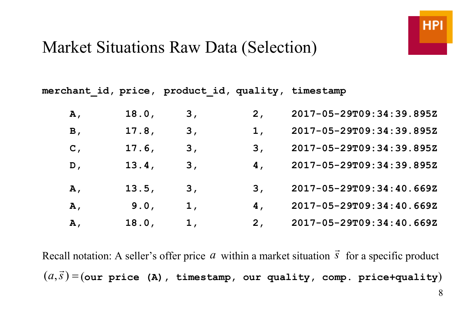#### Market Situations Raw Data (Selection)

**merchant\_id, price, product\_id, quality, timestamp** 

| Α,             | 18.0, | 3 <sub>1</sub> | 2 <sub>r</sub> | 2017-05-29T09:34:39.895Z |
|----------------|-------|----------------|----------------|--------------------------|
| B,             | 17.8, | 3 <sub>1</sub> | 1,             | 2017-05-29T09:34:39.895Z |
| $\mathbf{C}$ , | 17.6, | 3,             | 3,             | 2017-05-29T09:34:39.895Z |
| D,             | 13.4, | 3 <sub>l</sub> | 4,             | 2017-05-29T09:34:39.895Z |
| Α,             | 13.5, | 3,             | 3,             | 2017-05-29T09:34:40.669Z |
| Α,             | 9.0,  | 1,             | 4,             | 2017-05-29T09:34:40.669Z |
| Α,             | 18.0, | 1,             | 2 <sub>r</sub> | 2017-05-29T09:34:40.669Z |

Recall notation: A seller's offer price  $a$  within a market situation  $\vec{s}$  for a specific product  $(a, \vec{s}\,)$ = $($ our price (A), timestamp, our quality, comp. price+quality $)$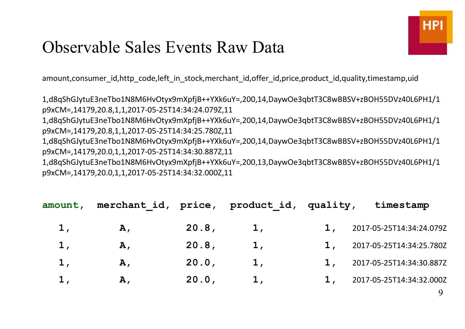#### Observable Sales Events Raw Data

amount,consumer\_id,http\_code,left\_in\_stock,merchant\_id,offer\_id,price,product\_id,quality,timestamp,uid

1,d8qShGJytuE3neTbo1N8M6HvOtyx9mXpfjB++YXk6uY=,200,14,DaywOe3qbtT3C8wBBSV+zBOH55DVz40L6PH1/1p9xCM=,14179,20.8,1,1,2017-05-25T14:34:24.079Z,11

1,d8qShGJytuE3neTbo1N8M6HvOtyx9mXpfjB++YXk6uY=,200,14,DaywOe3qbtT3C8wBBSV+zBOH55DVz40L6PH1/1p9xCM=,14179,20.8,1,1,2017-05-25T14:34:25.780Z,11

1,d8qShGJytuE3neTbo1N8M6HvOtyx9mXpfjB++YXk6uY=,200,14,DaywOe3qbtT3C8wBBSV+zBOH55DVz40L6PH1/1p9xCM=,14179,20.0,1,1,2017-05-25T14:34:30.887Z,11

1,d8qShGJytuE3neTbo1N8M6HvOtyx9mXpfjB++YXk6uY=,200,13,DaywOe3qbtT3C8wBBSV+zBOH55DVz40L6PH1/1p9xCM=,14179,20.0,1,1,2017-05-25T14:34:32.000Z,11

| amount, | merchant id, price, product id, quality, |       |    | timestamp                |
|---------|------------------------------------------|-------|----|--------------------------|
| 1,      | Α,                                       | 20.8, | 1, | 2017-05-25T14:34:24.079Z |
| 1,      | Α,                                       | 20.8, | 1. | 2017-05-25T14:34:25.780Z |
| 1,      | Α,                                       | 20.0, |    | 2017-05-25T14:34:30.887Z |
| l,      | Α,                                       | 20.0, |    | 2017-05-25T14:34:32.000Z |
|         |                                          |       |    |                          |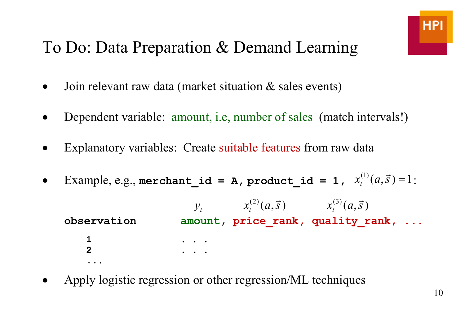### To Do: Data Preparation & Demand Learning

- Join relevant raw data (market situation & sales events)
- Dependent variable: amount, i.e, number of sales (match intervals!)
- Explanatory variables: Create suitable features from raw data
- Example, e.g., **merchant\_id = A**, **product\_id = 1**,  $x_t^{(1)}(a, \vec{s}) = 1$  :

 $x_t^{(2)}(a, \vec{s})$   $x_t^{(3)}(a, \vec{s})$ observation amount, price rank, quality rank, ...  **1 . . . 2 . . . ...** 

• Apply logistic regression or other regression/ML techniques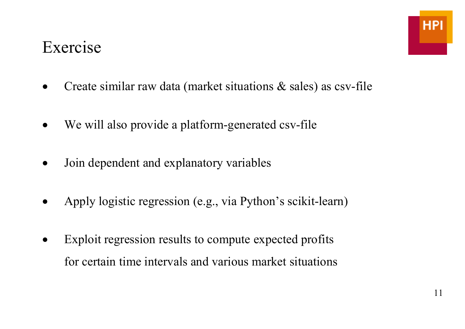#### Exercise

- Create similar raw data (market situations & sales) as csv-file
- We will also provide a platform-generated csv-file
- Join dependent and explanatory variables
- Apply logistic regression (e.g., via Python's scikit-learn)
- Exploit regression results to compute expected profits for certain time intervals and various market situations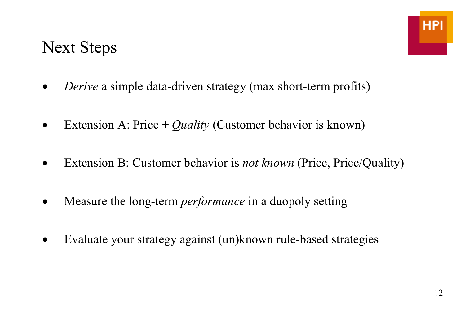#### Next Steps

- •*Derive* a simple data-driven strategy (max short-term profits)
- Extension A: Price + *Quality* (Customer behavior is known)
- Extension B: Customer behavior is *not known* (Price, Price/Quality)
- Measure the long-term *performance* in a duopoly setting
- Evaluate your strategy against (un) known rule-based strategies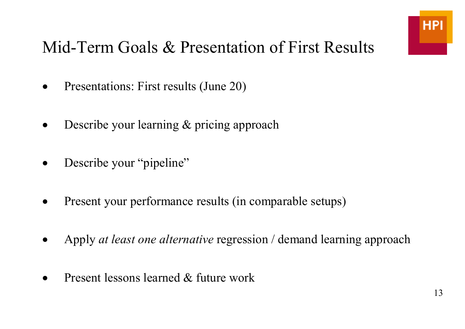### Mid-Term Goals & Presentation of First Results

- Presentations: First results (June 20)
- Describe your learning & pricing approach
- Describe your "pipeline"
- Present your performance results (in comparable setups)
- Apply *at least one alternative* regression / demand learning approach
- Present lessons learned & future work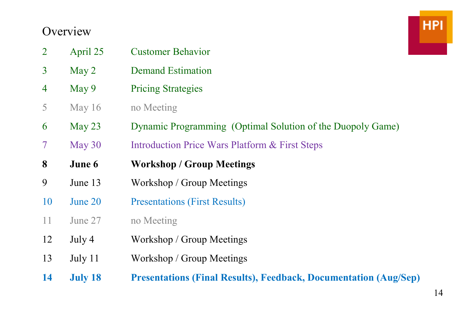#### **Overview**

| $\overline{2}$ | April 25         | <b>Customer Behavior</b>                                                |
|----------------|------------------|-------------------------------------------------------------------------|
| $\overline{3}$ | May <sub>2</sub> | <b>Demand Estimation</b>                                                |
| $\overline{4}$ | May 9            | <b>Pricing Strategies</b>                                               |
| 5              | May $16$         | no Meeting                                                              |
| 6              | May $23$         | Dynamic Programming (Optimal Solution of the Duopoly Game)              |
| $\tau$         | May 30           | <b>Introduction Price Wars Platform &amp; First Steps</b>               |
| 8              | June 6           | <b>Workshop / Group Meetings</b>                                        |
| 9              | June 13          | Workshop / Group Meetings                                               |
| 10             | June 20          | <b>Presentations (First Results)</b>                                    |
| 11             | June 27          | no Meeting                                                              |
| 12             | July 4           | Workshop / Group Meetings                                               |
| 13             | July 11          | Workshop / Group Meetings                                               |
| 14             | <b>July 18</b>   | <b>Presentations (Final Results), Feedback, Documentation (Aug/Sep)</b> |